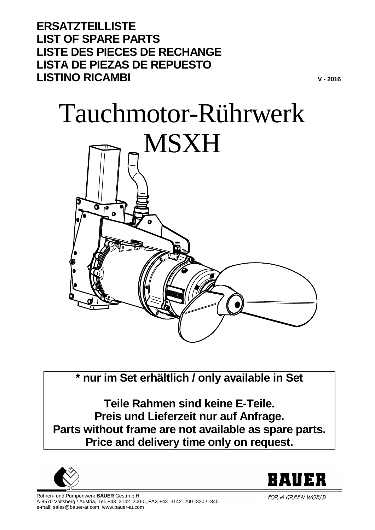**ERSATZTEILLISTE LIST OF SPARE PARTS LISTE DES PIECES DE RECHANGE LISTA DE PIEZAS DE REPUESTO LISTINO RICAMBI**

## Tauchmotor-Rührwerk



**\* nur im Set erhältlich / only available in Set**

**Teile Rahmen sind keine E-Teile. Preis und Lieferzeit nur auf Anfrage. Parts without frame are not available as spare parts. Price and delivery time only on request.**





**V - 2016**

FOR A GREEN WORLD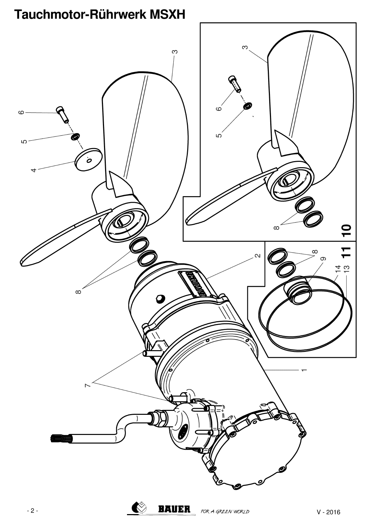# က  $\infty$  $\circ$  $\infty$ ഗ ഗ  $\dot{\mathcal{O}}$  $\overline{\mathbf{C}}$  $\infty$  $\mathbf{T}$  $\infty$  $\infty$ <u>4 ದಿ</u>  $\infty$  $\bigotimes$ **BAUER**

## Tauchmotor-Rührwerk MSXH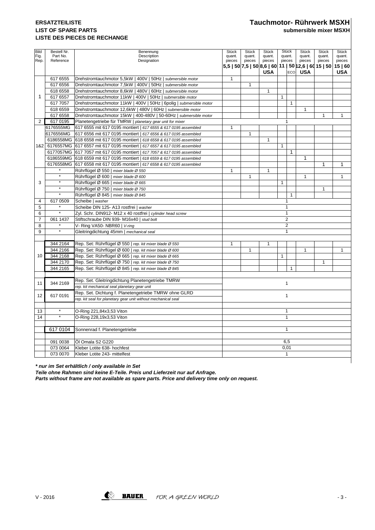### **LIST OF SPARE PARTS submersible mixer MSXH LISTE DES PIECES DE RECHANGE**

| Bild<br>Fig.   | Bestell Nr.<br>Part No. | Benennung<br>Description                                                     | Stück<br>quant.                                                | <b>Stück</b><br>quant.     | <b>Stück</b><br>quant. |              | Stück<br>quant.  | Stück<br>quant. | Stück<br>quant. |              |
|----------------|-------------------------|------------------------------------------------------------------------------|----------------------------------------------------------------|----------------------------|------------------------|--------------|------------------|-----------------|-----------------|--------------|
| Rep.           | Reference               | Designation                                                                  | pieces                                                         | quant.<br>pieces<br>pieces |                        |              | pieces<br>pieces |                 | pieces          | pieces       |
|                |                         |                                                                              | 5,5   50   7,5   50   8,6   60   11   50   12,6   60   15   50 |                            |                        |              |                  |                 |                 | 15 60        |
|                |                         |                                                                              |                                                                |                            | <b>USA</b>             |              | <b>ECO</b>       | <b>USA</b>      |                 | <b>USA</b>   |
|                | 617 6555                | Drehstromtauchmotor 5,5kW   400V   50Hz   submersible motor                  | $\mathbf{1}$                                                   |                            |                        |              |                  |                 |                 |              |
|                | 617 6556                | Drehstromtauchmotor 7,5kW   400V   50Hz   submersible motor                  |                                                                | $\mathbf{1}$               |                        |              |                  |                 |                 |              |
|                | 618 6558                | Drehstromtauchmotor 8,6kW   480V   60Hz   submersible motor                  |                                                                |                            | $\mathbf{1}$           |              |                  |                 |                 |              |
| 1              | 617 6557                | Drehstromtauchmotor 11kW   400V   50Hz   submersible motor                   |                                                                |                            |                        | $\mathbf{1}$ |                  |                 |                 |              |
|                | 617 7057                | Drehstromtauchmotor 11kW   400V   50Hz   6polig   submersible motor          |                                                                |                            |                        |              | $\mathbf{1}$     |                 |                 |              |
|                | 618 6559                | Drehstromtauchmotor 12,6kW   480V   60Hz   submersible motor                 |                                                                |                            |                        |              |                  | 1               |                 |              |
|                | 617 6558                | Drehstromtauchmotor 15kW   400-480V   50-60Hz   submersible motor            |                                                                |                            |                        |              |                  |                 | $\mathbf{1}$    | $\mathbf{1}$ |
| $\overline{2}$ | 617 0195                | Planetengetriebe für TMRW   planetary gear unit for mixer                    |                                                                | $\mathbf{1}$               |                        |              |                  |                 |                 |              |
|                | 6176555MG               | 617 6555 mit 617 0195 montiert   617 6555 & 617 0195 assembled               | 1                                                              |                            |                        |              |                  |                 |                 |              |
|                | 6176556MG               | 617 6556 mit 617 0195 montiert   617 6556 & 617 0195 assembled               |                                                                | 1                          |                        |              |                  |                 |                 |              |
|                |                         | 6186558MG 618 6558 mit 617 0195 montiert   618 6558 & 617 0195 assembled     |                                                                |                            | $\mathbf{1}$           |              |                  |                 |                 |              |
|                |                         | 1&2 6176557MG 617 6557 mit 617 0195 montiert   617 6557 & 617 0195 assembled |                                                                |                            |                        | $\mathbf{1}$ |                  |                 |                 |              |
|                |                         | 6177057MG 617 7057 mit 617 0195 montiert   617 7057 & 617 0195 assembled     |                                                                |                            |                        |              | $\mathbf{1}$     |                 |                 |              |
|                |                         | 6186559MG 618 6559 mit 617 0195 montiert   618 6559 & 617 0195 assembled     |                                                                |                            |                        |              |                  | 1               |                 |              |
|                |                         | 6176558MG 617 6558 mit 617 0195 montiert   617 6558 & 617 0195 assembled     |                                                                |                            |                        |              |                  |                 | 1               | 1            |
|                |                         | Rührflügel Ø 550   mixer blade Ø 550                                         | $\mathbf{1}$                                                   |                            | $\mathbf{1}$           |              |                  |                 |                 |              |
|                | $\star$                 | Rührflügel Ø 600   mixer blade Ø 600                                         |                                                                | 1                          |                        |              |                  | $\mathbf{1}$    |                 | $\mathbf{1}$ |
| 3              | $\star$                 | Rührflügel Ø 665   mixer blade Ø 665                                         |                                                                |                            |                        | $\mathbf{1}$ |                  |                 |                 |              |
|                | $^\star$                | Rührflügel Ø 750   mixer blade Ø 750                                         |                                                                |                            |                        |              |                  |                 | $\mathbf{1}$    |              |
|                | $^\star$                | Rührflügel Ø 845   mixer blade Ø 845                                         |                                                                |                            |                        |              | $\mathbf{1}$     |                 |                 |              |
| 4              | 617 0509                | Scheibe   washer                                                             |                                                                |                            |                        |              | 1                |                 |                 |              |
| 5              |                         | Scheibe DIN 125- A13 rostfrei   washer                                       | 1                                                              |                            |                        |              |                  |                 |                 |              |
| 6              | $\star$                 | Zyl. Schr. DIN912- M12 x 40 rostfrei   cylinder head screw                   |                                                                |                            |                        |              | $\mathbf{1}$     |                 |                 |              |
| $\overline{7}$ | 061 1437                | Stiftschraube DIN 939-M16x40   stud bolt                                     |                                                                |                            |                        |              | $\overline{2}$   |                 |                 |              |
| 8              |                         | V- Ring VA50- NBR60   V-ring                                                 |                                                                |                            |                        |              | $\overline{2}$   |                 |                 |              |
| 9              | $\star$                 | Gleitringdichtung 45mm   mechanical seal                                     |                                                                |                            |                        |              | $\mathbf{1}$     |                 |                 |              |
|                |                         |                                                                              |                                                                |                            |                        |              |                  |                 |                 |              |
|                | 344 2164                | Rep. Set: Rührflügel Ø 550   rep. kit mixer blade Ø 550                      | $\mathbf{1}$                                                   |                            | $\mathbf{1}$           |              |                  |                 |                 |              |
|                | 344 2166                | Rep. Set: Rührflügel Ø 600   rep. kit mixer blade Ø 600                      |                                                                | 1                          |                        |              |                  | 1               |                 | $\mathbf{1}$ |
| 10             | 344 2168                | Rep. Set: Rührflügel Ø 665   rep. kit mixer blade Ø 665                      |                                                                |                            |                        | $\mathbf{1}$ |                  |                 |                 |              |
|                | 344 2170                | Rep. Set: Rührflügel Ø 750   rep. kit mixer blade Ø 750                      |                                                                |                            |                        |              |                  |                 | $\mathbf{1}$    |              |
|                | 344 2165                | Rep. Set: Rührflügel Ø 845   rep. kit mixer blade Ø 845                      |                                                                |                            |                        |              | $\mathbf{1}$     |                 |                 |              |
|                |                         |                                                                              |                                                                |                            |                        |              |                  |                 |                 |              |
| 11             | 344 2169                | Rep. Set. Gleitringdichtung Planetengetriebe TMRW                            |                                                                | 1                          |                        |              |                  |                 |                 |              |
|                |                         | rep. kit mechanical seal planetary gear unit                                 |                                                                |                            |                        |              |                  |                 |                 |              |
| 12             | 617 0191                | Rep. Set. Dichtung f. Planetengetriebe TMRW ohne GLRD                        | $\mathbf{1}$                                                   |                            |                        |              |                  |                 |                 |              |
|                |                         | rep. kit seal for planetary gear unit without mechanical seal                |                                                                |                            |                        |              |                  |                 |                 |              |
|                |                         |                                                                              |                                                                |                            |                        |              |                  |                 |                 |              |
| 13             | $\star$                 | O-Ring 221,84x3,53 Viton                                                     | $\mathbf{1}$                                                   |                            |                        |              |                  |                 |                 |              |
| 14             | $\star$                 | O-Ring 228,19x3,53 Viton                                                     | $\mathbf{1}$                                                   |                            |                        |              |                  |                 |                 |              |
|                |                         |                                                                              |                                                                |                            |                        |              |                  |                 |                 |              |
|                | 6170104                 | Sonnenrad f. Planetengetriebe                                                | $\mathbf{1}$                                                   |                            |                        |              |                  |                 |                 |              |
|                |                         |                                                                              |                                                                |                            |                        |              |                  |                 |                 |              |
|                | 091 0038                | Öl Omala S2 G220                                                             | 6.5                                                            |                            |                        |              |                  |                 |                 |              |
|                | 073 0064                | Kleber Lotite 638- hochfest                                                  | 0,01                                                           |                            |                        |              |                  |                 |                 |              |
|                | 073 0070                | Kleber Lotite 243- mittelfest                                                | $\mathbf{1}$                                                   |                            |                        |              |                  |                 |                 |              |

**\* nur im Set erhältlich / only available in Set**

**Teile ohne Rahmen sind keine E-Teile. Preis und Lieferzeit nur auf Anfrage.**

**Parts without frame are not available as spare parts. Price and delivery time only on request.**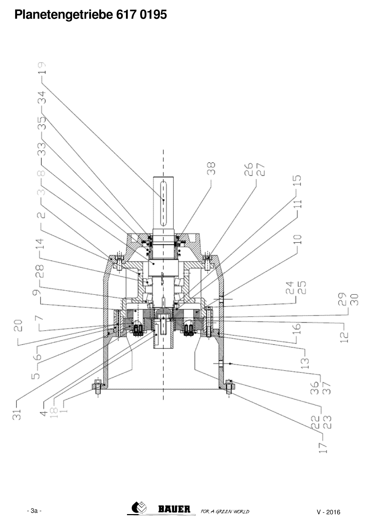## Planetengetriebe 617 0195



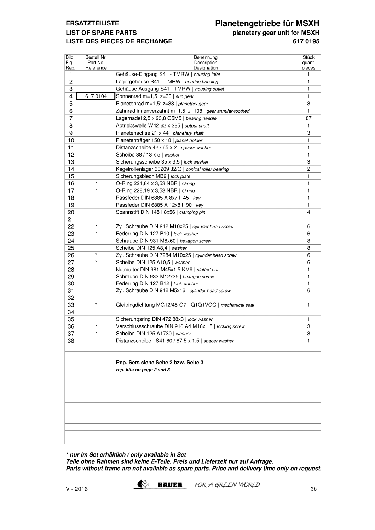#### **ERSATZTEILISTE LIST OF SPARE PARTS LISTE DES PIECES DE RECHANGE**

#### Planetengetriebe für MSXH planetary gear unit for MSXH 6170195

| Bild<br>Fig.<br>Rep. | Bestell Nr.<br>Part No.<br>Reference | Benennung<br>Description<br>Designation                   | <b>Stück</b><br>quant.<br>pieces |  |  |
|----------------------|--------------------------------------|-----------------------------------------------------------|----------------------------------|--|--|
| 1                    |                                      | Gehäuse-Eingang S41 - TMRW   housing inlet                |                                  |  |  |
| 2                    |                                      | Lagergehäuse S41 - TMRW   bearing housing                 | $\mathbf{1}$                     |  |  |
| 3                    |                                      | Gehäuse Ausgang S41 - TMRW   housing outlet               | $\mathbf{1}$                     |  |  |
| 4                    | 6170104                              | Sonnenrad m=1,5; z=30   sun gear                          | $\mathbf{1}$                     |  |  |
| 5                    |                                      | Planetenrad m=1,5; z=38   planetary gear                  | 3                                |  |  |
| 6                    |                                      | Zahnrad innenverzahnt m=1,5; z=108   gear annular-toothed | $\mathbf{1}$                     |  |  |
| 7                    |                                      | Lagernadel 2,5 x 23,8 G5M5   bearing needle               | 87                               |  |  |
| 8                    |                                      | Abtriebswelle W42 62 x 285   output shaft                 | 1                                |  |  |
| 9                    |                                      | Planetenachse 21 x 44   planetary shaft                   | 3                                |  |  |
| 10                   |                                      | Planetenträger 150 x 18   planet holder                   | 1                                |  |  |
| 11                   |                                      | Distanzscheibe 42 / 65 x 2   spacer washer                | $\mathbf{1}$                     |  |  |
| 12                   |                                      | Scheibe 38 / 13 x 5   washer                              | 1                                |  |  |
| 13                   |                                      | Sicherungsscheibe 35 x 3,5   lock washer                  | 3                                |  |  |
| 14                   |                                      | Kegelrollenlager 30209 J2/Q   conical roller bearing      | 2                                |  |  |
| 15                   |                                      | Sicherungsblech MB9   lock plate                          | $\mathbf{1}$                     |  |  |
| 16                   | $\star$                              | O-Ring 221,84 x 3,53 NBR   O-ring                         | $\mathbf{1}$                     |  |  |
| 17                   | $\star$                              | O-Ring 228,19 x 3,53 NBR   O-ring                         | 1                                |  |  |
| 18                   |                                      | Passfeder DIN 6885 A 8x7 I=45   key                       | 1                                |  |  |
| 19                   |                                      | Passfeder DIN 6885 A 12x8 I=90   key                      | 1                                |  |  |
| 20                   |                                      | Spannstift DIN 1481 8x56   clamping pin                   | 4                                |  |  |
| 21                   |                                      |                                                           |                                  |  |  |
| 22                   | $\star$                              | Zyl. Schraube DIN 912 M10x25   cylinder head screw        | 6                                |  |  |
| 23                   | $\star$                              | Federring DIN 127 B10   lock washer                       | 6                                |  |  |
| 24                   |                                      | Schraube DIN 931 M8x60   hexagon screw                    | 8                                |  |  |
| 25                   |                                      | Scheibe DIN 125 A8,4   washer                             | 8                                |  |  |
| 26                   | $\star$                              | Zyl. Schraube DIN 7984 M10x25   cylinder head screw       | 6                                |  |  |
| 27                   | $\star$                              | Scheibe DIN 125 A10,5   washer                            | 6                                |  |  |
| 28                   |                                      | Nutmutter DIN 981 M45x1,5 KM9   slotted nut               | 1                                |  |  |
| 29                   |                                      | Schraube DIN 933 M12x35   hexagon screw                   | 1                                |  |  |
| 30                   |                                      | Federring DIN 127 B12   lock washer                       | 1                                |  |  |
| 31                   |                                      | Zyl. Schraube DIN 912 M5x16   cylinder head screw         | 6                                |  |  |
| 32                   |                                      |                                                           |                                  |  |  |
| 33                   | $\star$                              | Gleitringdichtung MG12/45-G7 - Q1Q1VGG   mechanical seal  | $\mathbf{1}$                     |  |  |
| 34                   |                                      |                                                           |                                  |  |  |
| 35                   |                                      | Sicherungsring DIN 472 88x3   lock washer                 | 1                                |  |  |
| 36                   | $\star$                              | Verschlussschraube DIN 910 A4 M16x1,5   locking screw     | 3                                |  |  |
| 37                   | $\star$                              | Scheibe DIN 125 A1730 I washer                            | 3                                |  |  |
| 38                   |                                      | Distanzscheibe - S41 60 / 87,5 x 1,5   spacer washer      | 1                                |  |  |
|                      |                                      | Rep. Sets siehe Seite 2 bzw. Seite 3                      |                                  |  |  |
|                      |                                      | rep. kits on page 2 and 3                                 |                                  |  |  |
|                      |                                      |                                                           |                                  |  |  |
|                      |                                      |                                                           |                                  |  |  |
|                      |                                      |                                                           |                                  |  |  |
|                      |                                      |                                                           |                                  |  |  |
|                      |                                      |                                                           |                                  |  |  |
|                      |                                      |                                                           |                                  |  |  |
|                      |                                      |                                                           |                                  |  |  |

\* nur im Set erhältlich / only available in Set Teile ohne Rahmen sind keine E-Teile. Preis und Lieferzeit nur auf Anfrage. Parts without frame are not available as spare parts. Price and delivery time only on request.

 $\bullet$ 

**BAUER** FOR A GREEN WORLD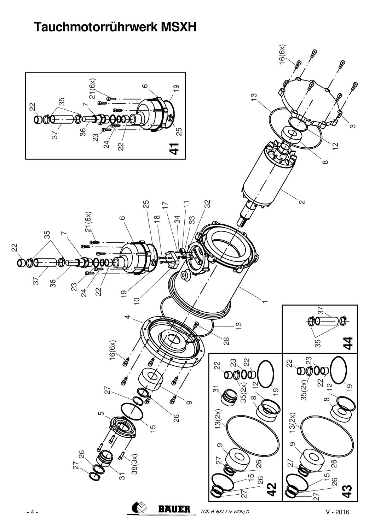## Tauchmotorrührwerk MSXH

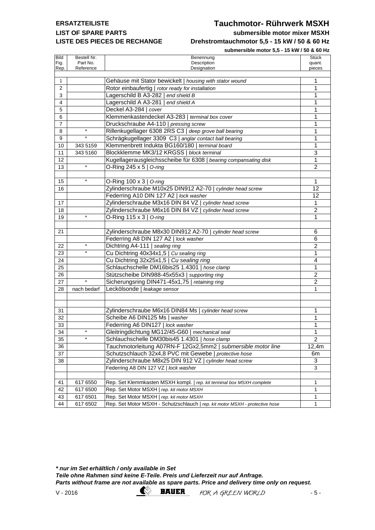### **LIST OF SPARE PARTS submersible motor mixer MSXH LISTE DES PIECES DE RECHANGE Drehstromtauchmotor 5,5 - 15 kW / 50 & 60 Hz**

#### **ERSATZTEILISTE Tauchmotor- Rührwerk MSXH**

**submersible motor 5,5 - 15 kW / 50 & 60 Hz**

|                |                       | SUDITIER SIDIE INOTOR 3,3 - 13 KW / 30 & 60 HZ                               |                  |
|----------------|-----------------------|------------------------------------------------------------------------------|------------------|
| <b>Bild</b>    | Bestell Nr.           | Benennung                                                                    | Stück            |
| Fig.<br>Rep.   | Part No.<br>Reference | Description<br>Designation                                                   | quant.<br>pieces |
|                |                       |                                                                              |                  |
| $\mathbf{1}$   |                       | Gehäuse mit Stator bewickelt   housing with stator wound                     | 1                |
| $\overline{2}$ |                       | Rotor einbaufertig   rotor ready for installation                            | 1                |
| 3              |                       | Lagerschild B A3-282   end shield B                                          | 1                |
| 4              |                       | Lagerschild A A3-281   end shield A                                          | 1                |
| 5              |                       | Deckel A3-284   cover                                                        | 1                |
| 6              |                       | Klemmenkastendeckel A3-283   terminal box cover                              | 1                |
| 7              |                       | Druckschraube A4-110   pressing screw                                        | 1                |
| 8              | $\star$               | Rillenkugellager 6308 2RS C3   deep grove ball bearing                       | 1                |
| 9              | $\star$               | Schrägkugellager 3309 C3   anglar contact ball bearing                       | 1                |
| 10             | 343 5159              | Klemmenbrett Indukta BG160/180   terminal board                              | 1                |
| 11             | 343 5160              | Blockklemme MK3/12 KRGSS   block terminal                                    | 3                |
| 12             |                       | Kugellagerausgleichsscheibe für 6308   bearing compansating disk             | 1                |
| 13             | $\star$               | O-Ring 245 $\times$ 5   O-ring                                               | $\overline{2}$   |
|                |                       |                                                                              |                  |
| 15             | $\star$               | O-Ring 100 x 3   O-ring                                                      | 1                |
| 16             |                       | Zylinderschraube M10x25 DIN912 A2-70   cylinder head screw                   | 12               |
|                |                       | Federring A10 DIN 127 A2   lock washer                                       | 12               |
| 17             |                       | Zylinderschraube M3x16 DIN 84 VZ   cylinder head screw                       | 1                |
| 18             |                       | Zylinderschraube M6x16 DIN 84 VZ   cylinder head screw                       | 2                |
| 19             |                       | O-Ring 115 $\times$ 3   O-ring                                               | 1                |
|                |                       |                                                                              |                  |
| 21             |                       | Zylinderschraube M8x30 DIN912 A2-70   cylinder head screw                    | 6                |
|                |                       | Federring A8 DIN 127 A2   lock washer                                        | 6                |
| 22             | $\star$               | Dichtring A4-111   sealing ring                                              | $\overline{2}$   |
| 23             | $\star$               | Cu Dichtring 40x34x1,5   Cu sealing ring                                     | 1                |
| 24             |                       | Cu Dichtring 32x25x1,5   Cu sealing ring                                     | 4                |
| 25             |                       | Schlauchschelle DM16bis25 1.4301   hose clamp                                | 1                |
| 26             |                       | Stützscheibe DIN988-45x55x3   supporting ring                                | 2                |
| 27             | $\star$               | Sicherungsring DIN471-45x1,75   retaining ring                               | 2                |
| 28             | nach bedarf           | Leckölsonde   leakage sensor                                                 | 1                |
|                |                       |                                                                              |                  |
|                |                       |                                                                              |                  |
| 31             |                       | Zylinderschraube M6x16 DIN84 Ms   cylinder head screw                        | 1                |
| 32             |                       | Scheibe A6 DIN125 Ms   washer                                                | 1                |
| 33             |                       | Federring A6 DIN127   lock washer                                            | 1                |
| 34             |                       | Gleitringdichtung MG12/45-G60   mechanical seal                              | 1                |
| 35             | $\star$               | Schlauchschelle DM30bis45 1.4301   hose clamp                                | $\overline{2}$   |
| 36             |                       | Tauchmotorleitung A07RN-F 12Gx2,5mm2   submersible motor line                | 12,4m            |
| 37             |                       | Schutzschlauch 32x4,8 PVC mit Gewebe   protective hose                       | 6m               |
| 38             |                       | Zylinderschraube M8x25 DIN 912 VZ   cylinder head screw                      | 3                |
|                |                       | Federring A8 DIN 127 VZ   lock washer                                        | 3                |
|                |                       |                                                                              |                  |
| 41             | 617 6550              | Rep. Set Klemmkasten MSXH kompl.   rep. kit terminal box MSXH complete       | $\mathbf 1$      |
| 42             | 617 6500              | Rep. Set Motor MSXH   rep. kit motor MSXH                                    | $\mathbf{1}$     |
| 43             | 617 6501              | Rep. Set Motor MSXH   rep. kit motor MSXH                                    | $\mathbf 1$      |
| 44             | 617 6502              | Rep. Set Motor MSXH - Schutzschlauch   rep. kit motor MSXH - protective hose | $\mathbf{1}$     |

**\* nur im Set erhältlich / only available in Set Teile ohne Rahmen sind keine E-Teile. Preis und Lieferzeit nur auf Anfrage. Parts without frame are not available as spare parts. Price and delivery time only on request.**

V-2016 **EXAMPLER** FOR A GREEN WORLD  $\rightarrow$  5-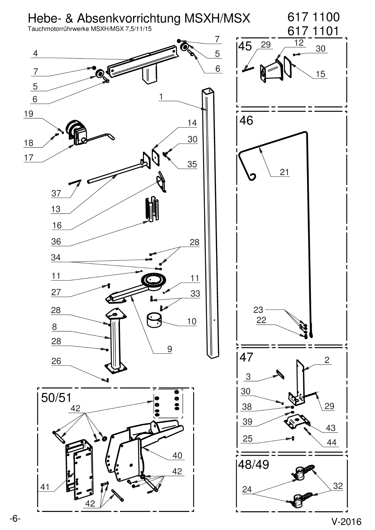

 $V-2016$